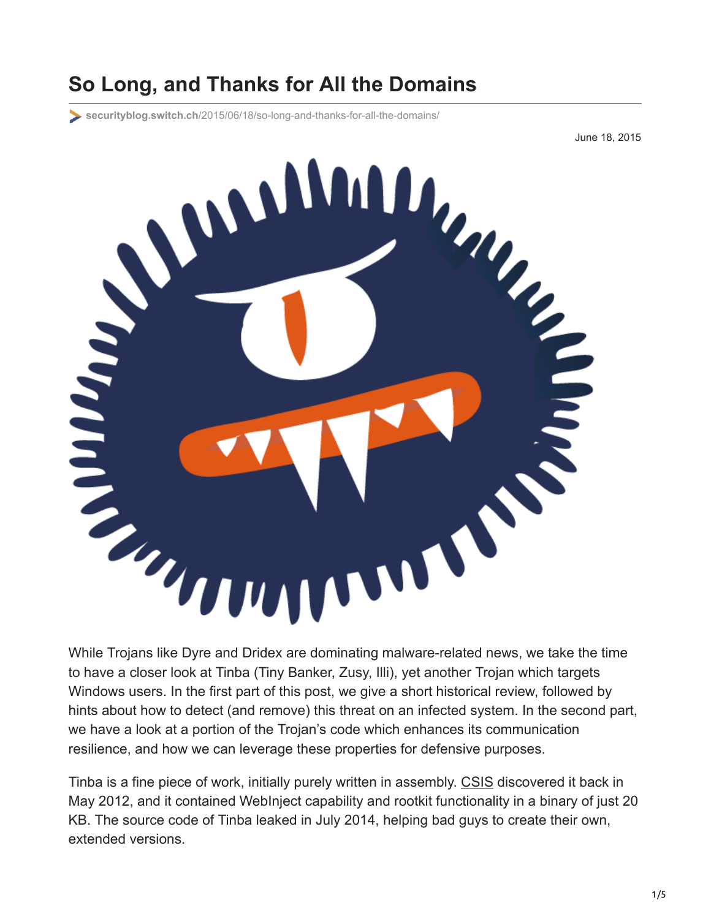## **So Long, and Thanks for All the Domains**

**securityblog.switch.ch**[/2015/06/18/so-long-and-thanks-for-all-the-domains/](https://securityblog.switch.ch/2015/06/18/so-long-and-thanks-for-all-the-domains/)

June 18, 2015



to have a closer look at Tinba (Tiny Banker, Zusy, Illi), yet another Trojan which targets Windows users. In the first part of this post, we give a short historical review, followed by hints about how to detect (and remove) this threat on an infected system. In the second part, we have a look at a portion of the Trojan's code which enhances its communication resilience, and how we can leverage these properties for defensive purposes.

Tinba is a fine piece of work, initially purely written in assembly. [CSIS](https://www.csis.dk/en/csis/news/3566/) discovered it back in May 2012, and it contained WebInject capability and rootkit functionality in a binary of just 20 KB. The source code of Tinba leaked in July 2014, helping bad guys to create their own, extended versions.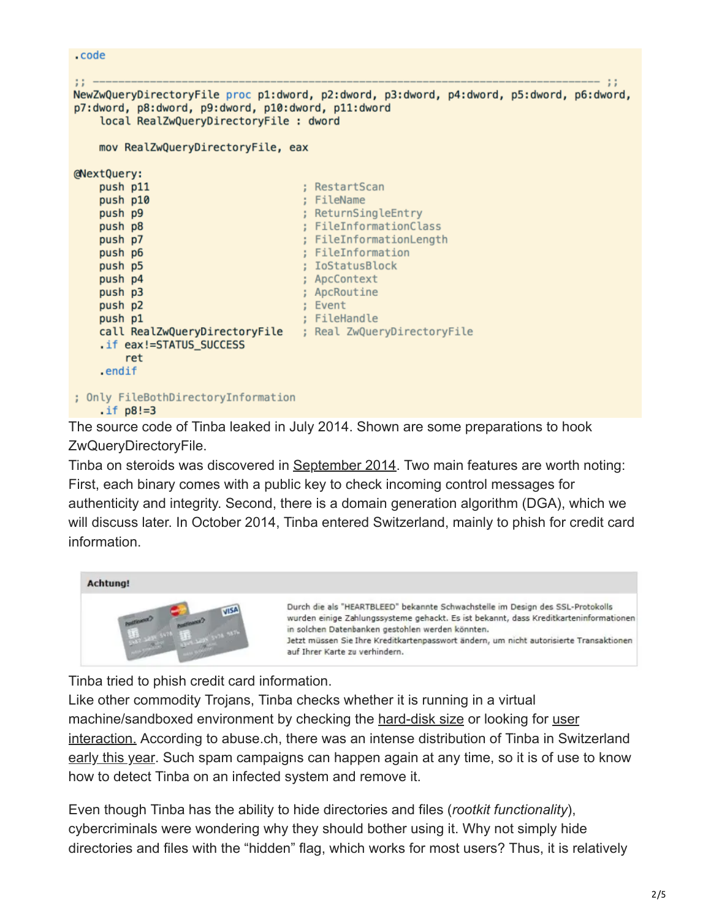```
.code
11 -\mathbf{H}NewZwQueryDirectoryFile proc p1:dword, p2:dword, p3:dword, p4:dword, p5:dword, p6:dword,
p7:dword, p8:dword, p9:dword, p10:dword, p11:dword
    local RealZwQueryDirectoryFile : dword
    mov RealZwQueryDirectoryFile, eax
@NextQuery:
                                     ; RestartScan
    push p11
    push p10
                                     ; FileName
                                     ; ReturnSingleEntry
    push p9
    push p8
                                     ; FileInformationClass
    push p7
                                     ; FileInformationLength
    push p6
                                     ; FileInformation
    push p5
                                     ; IoStatusBlock
    push p4
                                     ; ApcContext
    push p3
                                     ; ApcRoutine
                                     ; Event
    push p2
                                     ; FileHandle
    push p1
    call RealZwQueryDirectoryFile ; Real ZwQueryDirectoryFile
    .if eax!=STATUS_SUCCESS
        ret
    .endif
; Only FileBothDirectoryInformation
    \text{if } p8!=3
```
The source code of Tinba leaked in July 2014. Shown are some preparations to hook ZwQueryDirectoryFile.

Tinba on steroids was discovered in [September 2014](http://securityintelligence.com/tinba-malware-reloaded-and-attacking-banks-around-the-world). Two main features are worth noting: First, each binary comes with a public key to check incoming control messages for authenticity and integrity. Second, there is a domain generation algorithm (DGA), which we will discuss later. In October 2014, Tinba entered Switzerland, mainly to phish for credit card information.



Tinba tried to phish credit card information.

Like other commodity Trojans, Tinba checks whether it is running in a virtual machine/sandboxed environment by checking the [hard-disk size](http://joe4security.blogspot.ch/2014/12/new-sandbox-evasion-tricks-spot-with.html) or looking for user [interaction. According to abuse.ch, there was an intense distribution of Tinba in Swi](https://www.f-secure.com/weblog/archives/00002810.html)tzerland [early this year.](https://www.abuse.ch/?p=9095) Such spam campaigns can happen again at any time, so it is of use to know how to detect Tinba on an infected system and remove it.

Even though Tinba has the ability to hide directories and files (*rootkit functionality*), cybercriminals were wondering why they should bother using it. Why not simply hide directories and files with the "hidden" flag, which works for most users? Thus, it is relatively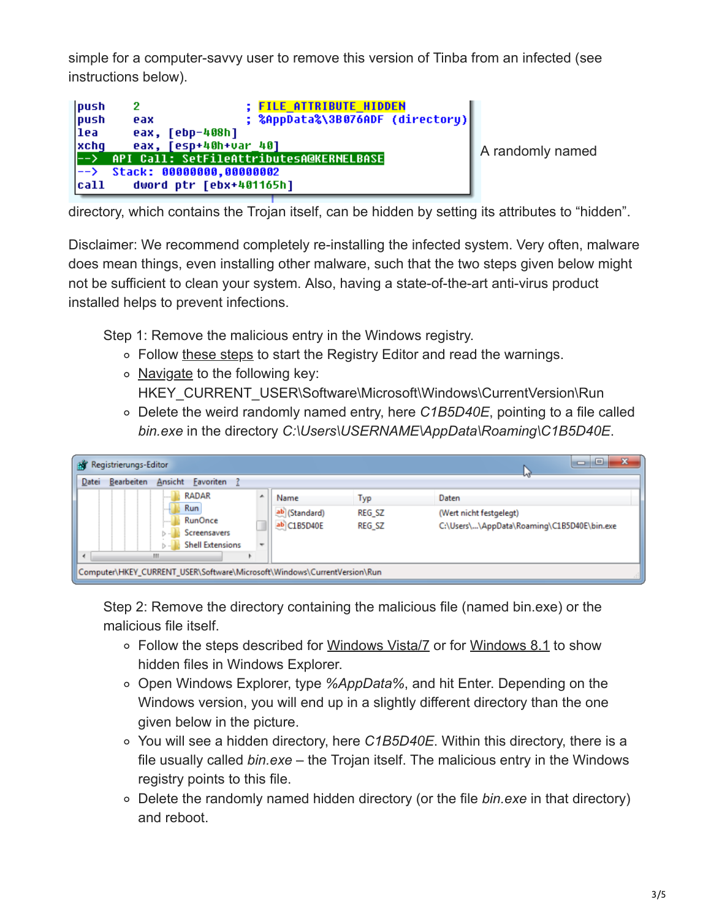simple for a computer-savvy user to remove this version of Tinba from an infected (see instructions below).

| push<br>push | <b>; FILE ATTRIBUTE HIDDEN</b><br>; %AppData%\3B076ADF (directory)<br>eax |  |
|--------------|---------------------------------------------------------------------------|--|
| llea.        | eax, [ebp-408h]                                                           |  |
| xchq         | eax, [esp+40h+var 40]                                                     |  |
|              | --> API Call: SetFileAttributesA@KERNELBASE                               |  |
|              | $\left  \text{--} \right\rangle$ Stack: 00000000,00000002                 |  |
| cat1         | dword ptr [ebx+401165h]                                                   |  |

randomly named

directory, which contains the Trojan itself, can be hidden by setting its attributes to "hidden".

Disclaimer: We recommend completely re-installing the infected system. Very often, malware does mean things, even installing other malware, such that the two steps given below might not be sufficient to clean your system. Also, having a state-of-the-art anti-virus product installed helps to prevent infections.

Step 1: Remove the malicious entry in the Windows registry.

- Follow [these steps](https://support.microsoft.com/en-us/kb/136393) to start the Registry Editor and read the warnings.
- $\circ$  [Navigate](https://msdn.microsoft.com/en-us/library/windows/desktop/aa376977%28v=vs.85%29.aspx) to the following key: HKEY\_CURRENT\_USER\Software\Microsoft\Windows\CurrentVersion\Run
- Delete the weird randomly named entry, here *C1B5D40E*, pointing to a file called *bin.exe* in the directory *C:\Users\USERNAME\AppData\Roaming\C1B5D40E*.

| Registrierungs-Editor<br>вT                                              |                          |               | x<br>$\begin{array}{c c c c c} \hline \multicolumn{1}{c }{\textbf{a}} & \multicolumn{1}{c }{\textbf{b}} \end{array}$ |
|--------------------------------------------------------------------------|--------------------------|---------------|----------------------------------------------------------------------------------------------------------------------|
| <b>E</b> avoriten<br>Ansicht<br>Bearbeiten<br>Datei                      |                          |               |                                                                                                                      |
| <b>RADAR</b>                                                             | $\blacktriangle$<br>Name | Typ           | Daten                                                                                                                |
| Run                                                                      | ab (Standard)            | REG_SZ        | (Wert nicht festgelegt)                                                                                              |
| <b>RunOnce</b><br>Screensavers                                           | ab C1B5D40E              | <b>REG SZ</b> | C:\Users\\AppData\Roaming\C1B5D40E\bin.exe                                                                           |
| <b>Shell Extensions</b>                                                  | ۰                        |               |                                                                                                                      |
| ш                                                                        |                          |               |                                                                                                                      |
| Computer\HKEY_CURRENT_USER\Software\Microsoft\Windows\CurrentVersion\Run |                          |               |                                                                                                                      |

Step 2: Remove the directory containing the malicious file (named bin.exe) or the malicious file itself.

- Follow the steps described for [Windows Vista/7](http://windows.microsoft.com/en-us/windows/show-hidden-files#show-hidden-files=windows-7) or for [Windows 8.1](http://blogs.msdn.com/b/zxue/archive/2012/03/08/win8-howto-19-show-hidden-files-folders-and-drives.aspx) to show hidden files in Windows Explorer.
- Open Windows Explorer, type *%AppData%*, and hit Enter. Depending on the Windows version, you will end up in a slightly different directory than the one given below in the picture.
- You will see a hidden directory, here *C1B5D40E*. Within this directory, there is a file usually called *bin.exe* – the Trojan itself. The malicious entry in the Windows registry points to this file.
- Delete the randomly named hidden directory (or the file *bin.exe* in that directory) and reboot.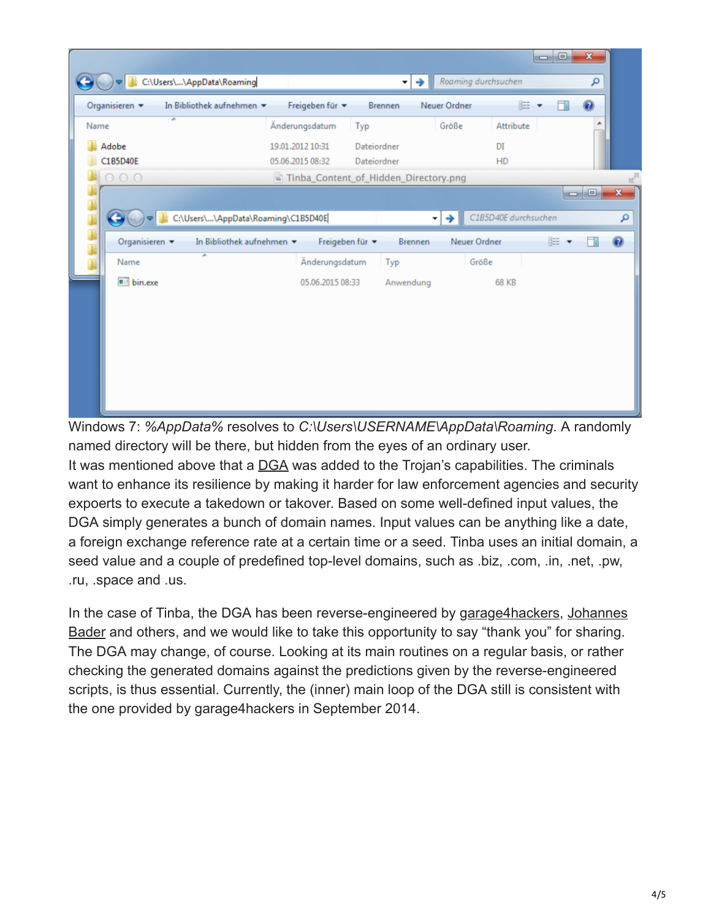| Organisieren v        | C:\Users\\AppData\Roaming<br>In Bibliothek aufnehmen | Freigeben für v                       | Brennen                    | →<br>Neuer Ordner | Roaming durchsuchen  | E . | 団               | م<br>$\circledcirc$ |                         |
|-----------------------|------------------------------------------------------|---------------------------------------|----------------------------|-------------------|----------------------|-----|-----------------|---------------------|-------------------------|
| Name                  | ×                                                    | Änderungsdatum                        | Typ                        | Größe             | Attribute            |     |                 |                     |                         |
| Adobe<br>C1B5D40E     |                                                      | 19.01.2012 10:31<br>05.06.2015 08:32  | Dateiordner<br>Dateiordner |                   | DI<br>HD             |     |                 |                     |                         |
| 000                   |                                                      | Tinba_Content_of_Hidden_Directory.png |                            |                   |                      |     |                 |                     |                         |
|                       |                                                      |                                       |                            |                   |                      |     | $\qquad \qquad$ | $\Box$              |                         |
|                       |                                                      |                                       |                            |                   |                      |     |                 |                     | $\overline{\mathbf{x}}$ |
|                       | C:\Users\\AppData\Roaming\C1B5D40E                   |                                       |                            | ∼l→               | C1B5D40E durchsuchen |     |                 |                     | م                       |
| Organisieren <b>v</b> | In Bibliothek aufnehmen                              |                                       | Freigeben für <b>*</b>     | Brennen           | Neuer Ordner         |     | BE -            | 団                   | 0                       |
| Name                  | ×                                                    | Änderungsdatum                        | Typ                        |                   | Größe                |     |                 |                     |                         |
| bin.exe               |                                                      | 05.06.2015 08:33                      |                            | Anwendung         | <b>68 KB</b>         |     |                 |                     |                         |
|                       |                                                      |                                       |                            |                   |                      |     |                 |                     |                         |
|                       |                                                      |                                       |                            |                   |                      |     |                 |                     |                         |
|                       |                                                      |                                       |                            |                   |                      |     |                 |                     |                         |
|                       |                                                      |                                       |                            |                   |                      |     |                 |                     |                         |

Windows 7: *%AppData%* resolves to *C:\Users\USERNAME\AppData\Roaming*. A randomly named directory will be there, but hidden from the eyes of an ordinary user. It was mentioned above that a **[DGA](http://en.wikipedia.org/wiki/Domain_generation_algorithm)** was added to the Trojan's capabilities. The criminals want to enhance its resilience by making it harder for law enforcement agencies and security expoerts to execute a takedown or takover. Based on some well-defined input values, the DGA simply generates a bunch of domain names. Input values can be anything like a date, a foreign exchange reference rate at a certain time or a seed. Tinba uses an initial domain, a seed value and a couple of predefined top-level domains, such as .biz, .com, .in, .net, .pw, .ru, .space and .us.

[In the case of Tinba, the DGA has been reverse-engineered by](http://www.johannesbader.ch/2015/04/new-top-level-domains-for-tinbas-dga/) [garage4hacker](http://garage4hackers.com/entry.php?b=3086)[s, Johannes](http://www.johannesbader.ch/2015/04/new-top-level-domains-for-tinbas-dga/) Bader and others, and we would like to take this opportunity to say "thank you" for sharing. The DGA may change, of course. Looking at its main routines on a regular basis, or rather checking the generated domains against the predictions given by the reverse-engineered scripts, is thus essential. Currently, the (inner) main loop of the DGA still is consistent with the one provided by garage4hackers in September 2014.